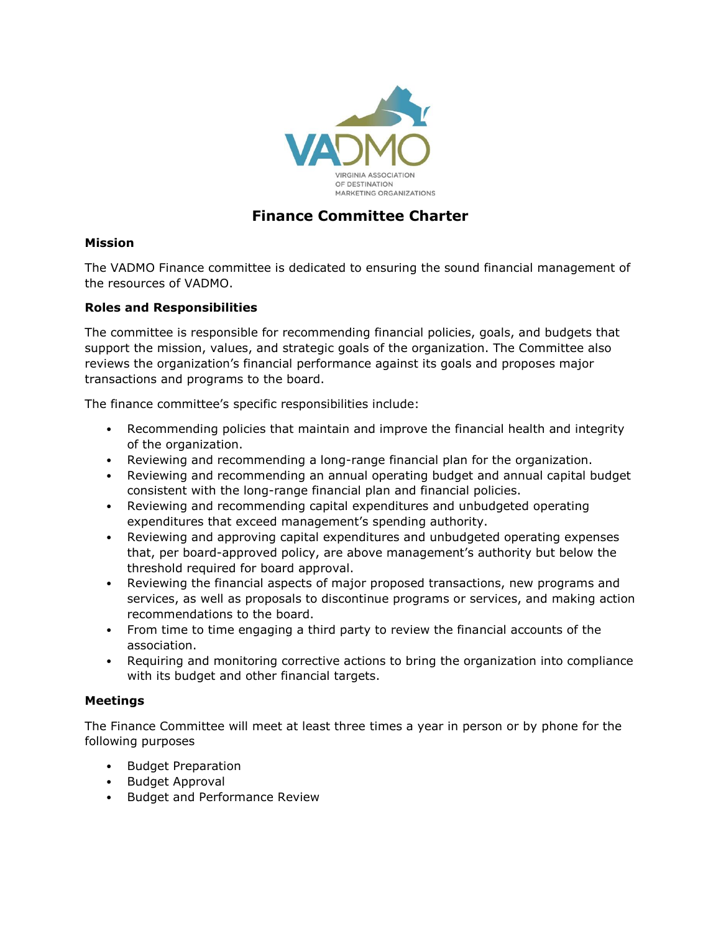

# **Finance Committee Charter**

## **Mission**

The VADMO Finance committee is dedicated to ensuring the sound financial management of the resources of VADMO.

### **Roles and Responsibilities**

The committee is responsible for recommending financial policies, goals, and budgets that support the mission, values, and strategic goals of the organization. The Committee also reviews the organization's financial performance against its goals and proposes major transactions and programs to the board.

The finance committee's specific responsibilities include:

- Recommending policies that maintain and improve the financial health and integrity of the organization.
- Reviewing and recommending a long-range financial plan for the organization.
- Reviewing and recommending an annual operating budget and annual capital budget consistent with the long-range financial plan and financial policies.
- Reviewing and recommending capital expenditures and unbudgeted operating expenditures that exceed management's spending authority.
- Reviewing and approving capital expenditures and unbudgeted operating expenses that, per board-approved policy, are above management's authority but below the threshold required for board approval.
- Reviewing the financial aspects of major proposed transactions, new programs and services, as well as proposals to discontinue programs or services, and making action recommendations to the board.
- From time to time engaging a third party to review the financial accounts of the association.
- Requiring and monitoring corrective actions to bring the organization into compliance with its budget and other financial targets.

#### **Meetings**

The Finance Committee will meet at least three times a year in person or by phone for the following purposes

- Budget Preparation
- Budget Approval
- Budget and Performance Review